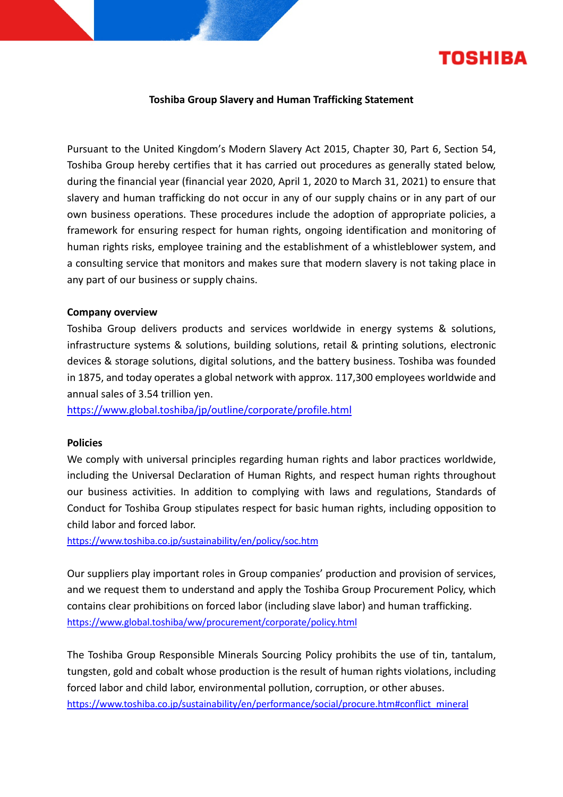

# **Toshiba Group Slavery and Human Trafficking Statement**

Pursuant to the United Kingdom's Modern Slavery Act 2015, Chapter 30, Part 6, Section 54, Toshiba Group hereby certifies that it has carried out procedures as generally stated below, during the financial year (financial year 2020, April 1, 2020 to March 31, 2021) to ensure that slavery and human trafficking do not occur in any of our supply chains or in any part of our own business operations. These procedures include the adoption of appropriate policies, a framework for ensuring respect for human rights, ongoing identification and monitoring of human rights risks, employee training and the establishment of a whistleblower system, and a consulting service that monitors and makes sure that modern slavery is not taking place in any part of our business or supply chains.

### **Company overview**

Toshiba Group delivers products and services worldwide in energy systems & solutions, infrastructure systems & solutions, building solutions, retail & printing solutions, electronic devices & storage solutions, digital solutions, and the battery business. Toshiba was founded in 1875, and today operates a global network with approx. 117,300 employees worldwide and annual sales of 3.54 trillion yen.

<https://www.global.toshiba/jp/outline/corporate/profile.html>

### **Policies**

We comply with universal principles regarding human rights and labor practices worldwide, including the Universal Declaration of Human Rights, and respect human rights throughout our business activities. In addition to complying with laws and regulations, Standards of Conduct for Toshiba Group stipulates respect for basic human rights, including opposition to child labor and forced labor.

<https://www.toshiba.co.jp/sustainability/en/policy/soc.htm>

Our suppliers play important roles in Group companies' production and provision of services, and we request them to understand and apply the Toshiba Group Procurement Policy, which contains clear prohibitions on forced labor (including slave labor) and human trafficking. <https://www.global.toshiba/ww/procurement/corporate/policy.html>

The Toshiba Group Responsible Minerals Sourcing Policy prohibits the use of tin, tantalum, tungsten, gold and cobalt whose production is the result of human rights violations, including forced labor and child labor, environmental pollution, corruption, or other abuses. [https://www.toshiba.co.jp/sustainability/en/performance/social/procure.htm#conflict\\_mineral](https://www.toshiba.co.jp/sustainability/en/performance/social/procure.htm#conflict_mineral)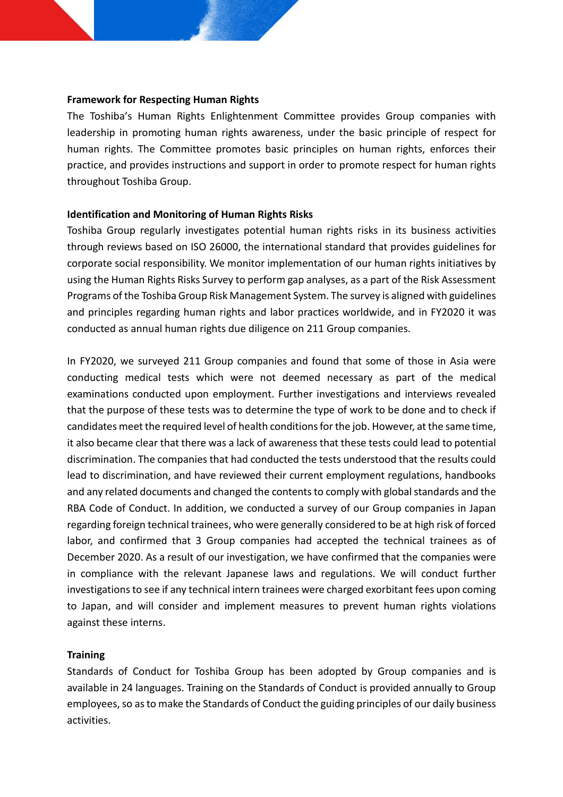# **Framework for Respecting Human Rights**

The Toshiba's Human Rights Enlightenment Committee provides Group companies with leadership in promoting human rights awareness, under the basic principle of respect for human rights. The Committee promotes basic principles on human rights, enforces their practice, and provides instructions and support in order to promote respect for human rights throughout Toshiba Group.

# **Identification and Monitoring of Human Rights Risks**

Toshiba Group regularly investigates potential human rights risks in its business activities through reviews based on ISO 26000, the international standard that provides guidelines for corporate social responsibility. We monitor implementation of our human rights initiatives by using the Human Rights Risks Survey to perform gap analyses, as a part of the Risk Assessment Programs of the Toshiba Group Risk Management System. The survey is aligned with guidelines and principles regarding human rights and labor practices worldwide, and in FY2020 it was conducted as annual human rights due diligence on 211 Group companies.

In FY2020, we surveyed 211 Group companies and found that some of those in Asia were conducting medical tests which were not deemed necessary as part of the medical examinations conducted upon employment. Further investigations and interviews revealed that the purpose of these tests was to determine the type of work to be done and to check if candidates meet the required level of health conditions for the job. However, at the same time, it also became clear that there was a lack of awareness that these tests could lead to potential discrimination. The companies that had conducted the tests understood that the results could lead to discrimination, and have reviewed their current employment regulations, handbooks and any related documents and changed the contents to comply with global standards and the RBA Code of Conduct. In addition, we conducted a survey of our Group companies in Japan regarding foreign technical trainees, who were generally considered to be at high risk of forced labor, and confirmed that 3 Group companies had accepted the technical trainees as of December 2020. As a result of our investigation, we have confirmed that the companies were in compliance with the relevant Japanese laws and regulations. We will conduct further investigations to see if any technical intern trainees were charged exorbitant fees upon coming to Japan, and will consider and implement measures to prevent human rights violations against these interns.

# **Training**

Standards of Conduct for Toshiba Group has been adopted by Group companies and is available in 24 languages. Training on the Standards of Conduct is provided annually to Group employees, so asto make the Standards of Conduct the guiding principles of our daily business activities.